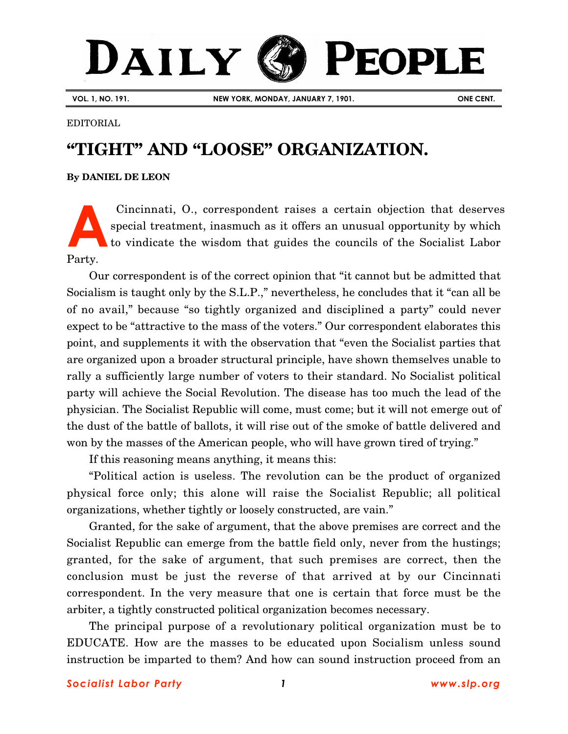# DAILY PEOPLE

**VOL. 1, NO. 191. NEW YORK, MONDAY, JANUARY 7, 1901. ONE CENT.**

#### EDITORIAL

## **"TIGHT" AND "LOOSE" ORGANIZATION.**

### **By [DANIEL DE LEON](http://www.slp.org/De_Leon.htm)**

Cincinnati, O., correspondent raises a certain objection that deserves special treatment, inasmuch as it offers an unusual opportunity by which to vindicate the wisdom that guides the councils of the Socialist Labor Party. **A**

Our correspondent is of the correct opinion that "it cannot but be admitted that Socialism is taught only by the S.L.P.," nevertheless, he concludes that it "can all be of no avail," because "so tightly organized and disciplined a party" could never expect to be "attractive to the mass of the voters." Our correspondent elaborates this point, and supplements it with the observation that "even the Socialist parties that are organized upon a broader structural principle, have shown themselves unable to rally a sufficiently large number of voters to their standard. No Socialist political party will achieve the Social Revolution. The disease has too much the lead of the physician. The Socialist Republic will come, must come; but it will not emerge out of the dust of the battle of ballots, it will rise out of the smoke of battle delivered and won by the masses of the American people, who will have grown tired of trying."

If this reasoning means anything, it means this:

"Political action is useless. The revolution can be the product of organized physical force only; this alone will raise the Socialist Republic; all political organizations, whether tightly or loosely constructed, are vain."

Granted, for the sake of argument, that the above premises are correct and the Socialist Republic can emerge from the battle field only, never from the hustings; granted, for the sake of argument, that such premises are correct, then the conclusion must be just the reverse of that arrived at by our Cincinnati correspondent. In the very measure that one is certain that force must be the arbiter, a tightly constructed political organization becomes necessary.

The principal purpose of a revolutionary political organization must be to EDUCATE. How are the masses to be educated upon Socialism unless sound instruction be imparted to them? And how can sound instruction proceed from an

### *Socialist Labor Party 1 [www.slp.org](http://www.slp.org/)*